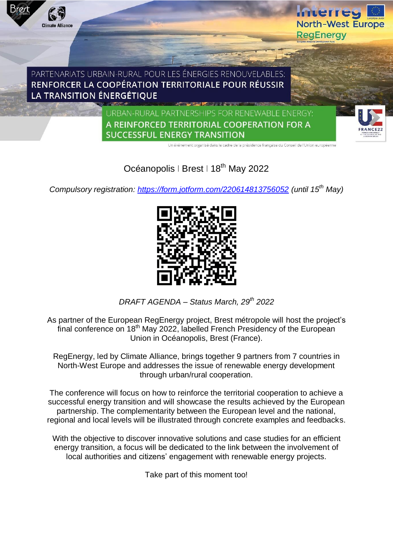

Un événement organisé dans le cadre de la présidence française du Conseil de l'Union européenne

Océanopolis | Brest | 18<sup>th</sup> May 2022

*Compulsory registration: https://form.jotform.com/220614813756052 (until 15th May)*



*DRAFT AGENDA – Status March, 29 th 2022*

As partner of the European RegEnergy project, Brest métropole will host the project's final conference on 18<sup>th</sup> May 2022, labelled French Presidency of the European Union in Océanopolis, Brest (France).

RegEnergy, led by Climate Alliance, brings together 9 partners from 7 countries in North-West Europe and addresses the issue of renewable energy development through urban/rural cooperation.

The conference will focus on how to reinforce the territorial cooperation to achieve a successful energy transition and will showcase the results achieved by the European partnership. The complementarity between the European level and the national, regional and local levels will be illustrated through concrete examples and feedbacks.

With the objective to discover innovative solutions and case studies for an efficient energy transition, a focus will be dedicated to the link between the involvement of local authorities and citizens' engagement with renewable energy projects.

Take part of this moment too!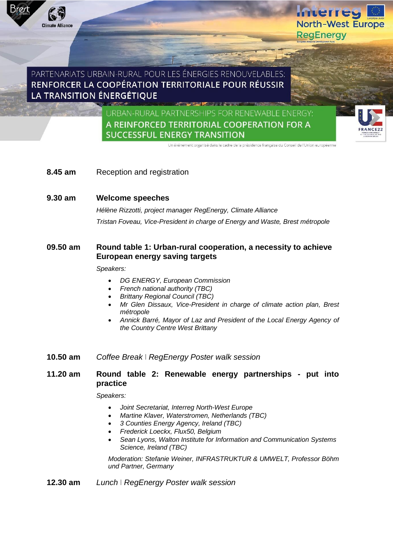## PARTENARIATS URBAIN-RURAL POUR LES ÉNERGIES RENOUVELABLES: RENFORCER LA COOPÉRATION TERRITORIALE POUR RÉUSSIR LA TRANSITION ÉNERGÉTIQUE **Britannich Miller Street Britannich**

URBAN-RURAL PARTNERSHIPS FOR RENEWABLE ENERGY: A REINFORCED TERRITORIAL COOPERATION FOR A **SUCCESSFUL ENERGY TRANSITION** 



**ILETTEY North-West Europe** 

**RegEnergy** 

Un événement organisé dans le cadre de la présidence française du Conseil de l'Union européenne

- **8.45 am** Reception and registration
- **9.30 am Welcome speeches**

*Hélène Rizzotti, project manager RegEnergy, Climate Alliance Tristan Foveau, Vice-President in charge of Energy and Waste, Brest métropole*

#### **09.50 am Round table 1: Urban-rural cooperation, a necessity to achieve European energy saving targets**

#### *Speakers:*

- *DG ENERGY, European Commission*
- *French national authority (TBC)*
- *Brittany Regional Council (TBC)*
- *Mr Glen Dissaux, Vice-President in charge of climate action plan, Brest métropole*
- *Annick Barré, Mayor of Laz and President of the Local Energy Agency of the Country Centre West Brittany*
- **10.50 am** *Coffee Break ǀ RegEnergy Poster walk session*

#### **11.20 am Round table 2: Renewable energy partnerships - put into practice**

*Speakers:*

- *Joint Secretariat, Interreg North-West Europe*
- *Martine Klaver, Waterstromen, Netherlands (TBC)*
- *3 Counties Energy Agency, Ireland (TBC)*
- *Frederick Loeckx, Flux50, Belgium*
- *Sean Lyons, Walton Institute for Information and Communication Systems Science, Ireland (TBC)*

*Moderation: Stefanie Weiner, INFRASTRUKTUR & UMWELT, Professor Böhm und Partner, Germany*

**12.30 am** *Lunch ǀ RegEnergy Poster walk session*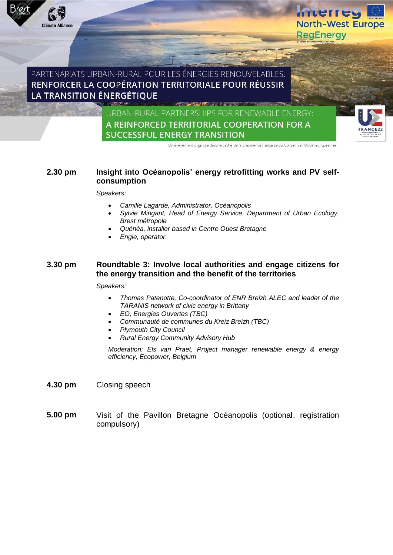

A REINFORCED TERRITORIAL COOPERATION FOR A **SUCCESSFUL ENERGY TRANSITION** 



Un événement organisé dans le cadre de la présidence française du Conseil de l'Union européenne

## **2.30 pm Insight into Océanopolis' energy retrofitting works and PV selfconsumption**

*Speakers:*

- *Camille Lagarde, Administrator, Océanopolis*
- *Sylvie Mingant, Head of Energy Service, Department of Urban Ecology, Brest métropole*
- *Quénéa, installer based in Centre Ouest Bretagne*
- *Engie, operator*

# **3.30 pm Roundtable 3: Involve local authorities and engage citizens for the energy transition and the benefit of the territories**

*Speakers:*

- *Thomas Patenotte, Co-coordinator of ENR Breizh ALEC and leader of the TARANIS network of civic energy in Brittany*
- *EO, Energies Ouvertes (TBC)*
- *Communauté de communes du Kreiz Breizh (TBC)*
- *Plymouth City Council*
- *Rural Energy Community Advisory Hub*

*Moderation: Els van Praet, Project manager renewable energy & energy efficiency, Ecopower, Belgium*

- **4.30 pm** Closing speech
- **5.00 pm** Visit of the Pavillon Bretagne Océanopolis (optional, registration compulsory)